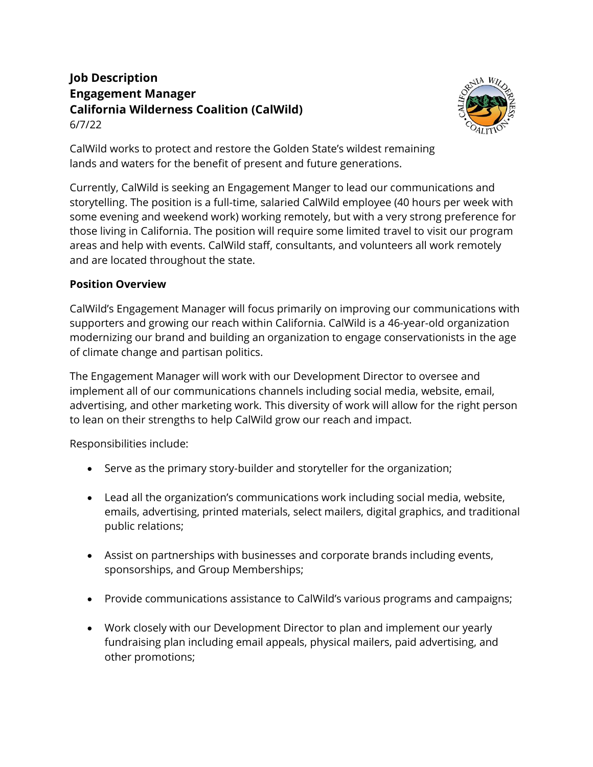## **Job Description Engagement Manager California Wilderness Coalition (CalWild)** 6/7/22



CalWild works to protect and restore the Golden State's wildest remaining lands and waters for the benefit of present and future generations.

Currently, CalWild is seeking an Engagement Manger to lead our communications and storytelling. The position is a full-time, salaried CalWild employee (40 hours per week with some evening and weekend work) working remotely, but with a very strong preference for those living in California. The position will require some limited travel to visit our program areas and help with events. CalWild staff, consultants, and volunteers all work remotely and are located throughout the state.

## **Position Overview**

CalWild's Engagement Manager will focus primarily on improving our communications with supporters and growing our reach within California. CalWild is a 46-year-old organization modernizing our brand and building an organization to engage conservationists in the age of climate change and partisan politics.

The Engagement Manager will work with our Development Director to oversee and implement all of our communications channels including social media, website, email, advertising, and other marketing work. This diversity of work will allow for the right person to lean on their strengths to help CalWild grow our reach and impact.

Responsibilities include:

- Serve as the primary story-builder and storyteller for the organization;
- Lead all the organization's communications work including social media, website, emails, advertising, printed materials, select mailers, digital graphics, and traditional public relations;
- Assist on partnerships with businesses and corporate brands including events, sponsorships, and Group Memberships;
- Provide communications assistance to CalWild's various programs and campaigns;
- Work closely with our Development Director to plan and implement our yearly fundraising plan including email appeals, physical mailers, paid advertising, and other promotions;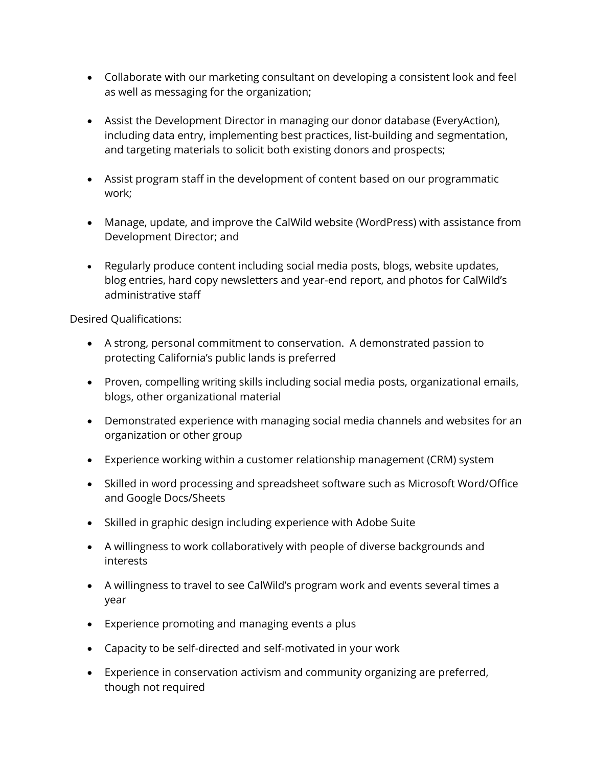- Collaborate with our marketing consultant on developing a consistent look and feel as well as messaging for the organization;
- Assist the Development Director in managing our donor database (EveryAction), including data entry, implementing best practices, list-building and segmentation, and targeting materials to solicit both existing donors and prospects;
- Assist program staff in the development of content based on our programmatic work;
- Manage, update, and improve the CalWild website (WordPress) with assistance from Development Director; and
- Regularly produce content including social media posts, blogs, website updates, blog entries, hard copy newsletters and year-end report, and photos for CalWild's administrative staff

Desired Qualifications:

- A strong, personal commitment to conservation. A demonstrated passion to protecting California's public lands is preferred
- Proven, compelling writing skills including social media posts, organizational emails, blogs, other organizational material
- Demonstrated experience with managing social media channels and websites for an organization or other group
- Experience working within a customer relationship management (CRM) system
- Skilled in word processing and spreadsheet software such as Microsoft Word/Office and Google Docs/Sheets
- Skilled in graphic design including experience with Adobe Suite
- A willingness to work collaboratively with people of diverse backgrounds and interests
- A willingness to travel to see CalWild's program work and events several times a year
- Experience promoting and managing events a plus
- Capacity to be self-directed and self-motivated in your work
- Experience in conservation activism and community organizing are preferred, though not required